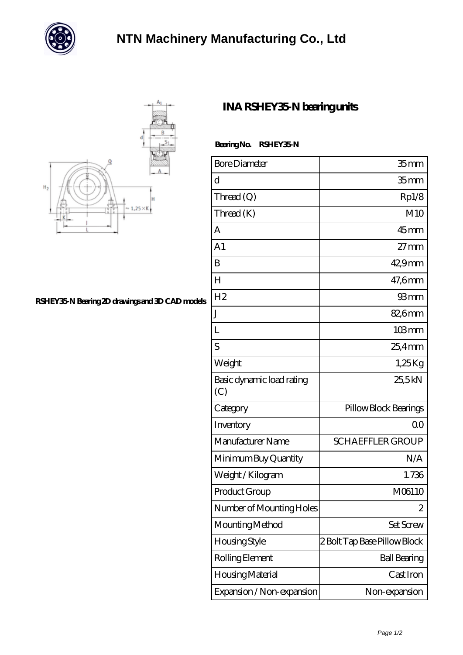



## **[RSHEY35-N Bearing 2D drawings and 3D CAD models](https://m.chatadresleri.com/pic-42671.html)**

## **[INA RSHEY35-N bearing units](https://m.chatadresleri.com/at-42671-ina-rshey35-n-bearing-units.html)**

| Bearing No. | <b>RSHEY35 N</b> |
|-------------|------------------|
|             |                  |

| <b>Bore Diameter</b>             | 35 <sub>mm</sub>             |
|----------------------------------|------------------------------|
| d                                | 35 <sub>mm</sub>             |
| Thread(Q)                        | Rp1/8                        |
| Thread (K)                       | M10                          |
| $\mathsf{A}$                     | 45mm                         |
| A <sub>1</sub>                   | $27 \text{mm}$               |
| B                                | $429$ mm                     |
| $H_{\rm}$                        | 47,6mm                       |
| H <sub>2</sub>                   | 93mm                         |
| J                                | 82,6mm                       |
| L                                | $103 \,\mathrm{mm}$          |
| S                                | $25.4$ mm                    |
| Weight                           | 1,25Kg                       |
| Basic dynamic load rating<br>(C) | 25,5kN                       |
| Category                         | Pillow Block Bearings        |
| Inventory                        | 0 <sup>0</sup>               |
| Manufacturer Name                | <b>SCHAEFFLER GROUP</b>      |
| Minimum Buy Quantity             | N/A                          |
| Weight/Kilogram                  | 1.736                        |
| Product Group                    | M06110                       |
| Number of Mounting Holes         | 2                            |
| Mounting Method                  | Set Screw                    |
| Housing Style                    | 2 Bolt Tap Base Pillow Block |
| Rolling Element                  | <b>Ball Bearing</b>          |
| Housing Material                 | Cast Iron                    |
| Expansion / Non-expansion        | Non-expansion                |